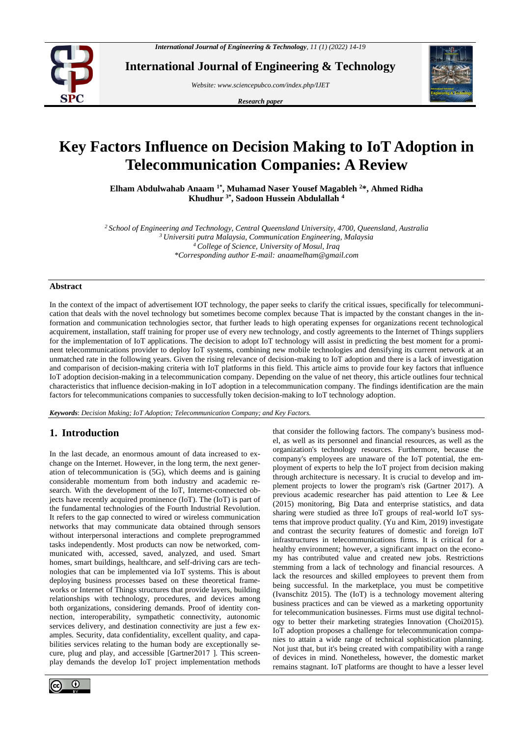

**International Journal of Engineering & Technology**

*Website: www.sciencepubco.com/index.php/IJET* 

*Research paper*



# **Key Factors Influence on Decision Making to IoT Adoption in Telecommunication Companies: A Review**

**Elham Abdulwahab Anaam 1\* , Muhamad Naser Yousef Magableh <sup>2</sup>\*, Ahmed Ridha Khudhur 3\* , Sadoon Hussein Abdulallah <sup>4</sup>**

*School of Engineering and Technology, Central Queensland University, 4700, Queensland, Australia Universiti putra Malaysia, Communication Engineering, Malaysia College of Science, University of Mosul, Iraq \*Corresponding author E-mail: anaamelham@gmail.com*

## **Abstract**

In the context of the impact of advertisement IOT technology, the paper seeks to clarify the critical issues, specifically for telecommunication that deals with the novel technology but sometimes become complex because That is impacted by the constant changes in the information and communication technologies sector, that further leads to high operating expenses for organizations recent technological acquirement, installation, staff training for proper use of every new technology, and costly agreements to the Internet of Things suppliers for the implementation of IoT applications. The decision to adopt IoT technology will assist in predicting the best moment for a prominent telecommunications provider to deploy IoT systems, combining new mobile technologies and densifying its current network at an unmatched rate in the following years. Given the rising relevance of decision-making to IoT adoption and there is a lack of investigation and comparison of decision-making criteria with IoT platforms in this field. This article aims to provide four key factors that influence IoT adoption decision-making in a telecommunication company. Depending on the value of net theory, this article outlines four technical characteristics that influence decision-making in IoT adoption in a telecommunication company. The findings identification are the main factors for telecommunications companies to successfully token decision-making to IoT technology adoption.

*Keywords*: *Decision Making; IoT Adoption; Telecommunication Company; and Key Factors.*

# **1. Introduction**

In the last decade, an enormous amount of data increased to exchange on the Internet. However, in the long term, the next generation of telecommunication is (5G), which deems and is gaining considerable momentum from both industry and academic research. With the development of the IoT, Internet-connected objects have recently acquired prominence (IoT). The (IoT) is part of the fundamental technologies of the Fourth Industrial Revolution. It refers to the gap connected to wired or wireless communication networks that may communicate data obtained through sensors without interpersonal interactions and complete preprogrammed tasks independently. Most products can now be networked, communicated with, accessed, saved, analyzed, and used. Smart homes, smart buildings, healthcare, and self-driving cars are technologies that can be implemented via IoT systems. This is about deploying business processes based on these theoretical frameworks or Internet of Things structures that provide layers, building relationships with technology, procedures, and devices among both organizations, considering demands. Proof of identity connection, interoperability, sympathetic connectivity, autonomic services delivery, and destination connectivity are just a few examples. Security, data confidentiality, excellent quality, and capabilities services relating to the human body are exceptionally secure, plug and play, and accessible [Gartner2017 ]. This screenplay demands the develop IoT project implementation methods



that consider the following factors. The company's business model, as well as its personnel and financial resources, as well as the organization's technology resources. Furthermore, because the company's employees are unaware of the IoT potential, the employment of experts to help the IoT project from decision making through architecture is necessary. It is crucial to develop and implement projects to lower the program's risk (Gartner 2017). A previous academic researcher has paid attention to Lee & Lee (2015) monitoring, Big Data and enterprise statistics, and data sharing were studied as three IoT groups of real-world IoT systems that improve product quality. (Yu and Kim, 2019) investigate and contrast the security features of domestic and foreign IoT infrastructures in telecommunications firms. It is critical for a healthy environment; however, a significant impact on the economy has contributed value and created new jobs. Restrictions stemming from a lack of technology and financial resources. A lack the resources and skilled employees to prevent them from being successful. In the marketplace, you must be competitive (Ivanschitz 2015). The (IoT) is a technology movement altering business practices and can be viewed as a marketing opportunity for telecommunication businesses. Firms must use digital technology to better their marketing strategies Innovation (Choi2015). IoT adoption proposes a challenge for telecommunication companies to attain a wide range of technical sophistication planning. Not just that, but it's being created with compatibility with a range of devices in mind. Nonetheless, however, the domestic market remains stagnant. IoT platforms are thought to have a lesser level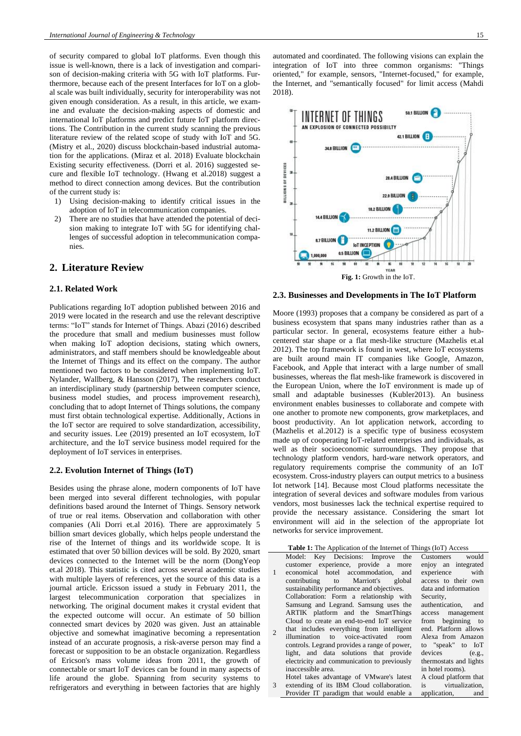of security compared to global IoT platforms. Even though this issue is well-known, there is a lack of investigation and comparison of decision-making criteria with 5G with IoT platforms. Furthermore, because each of the present Interfaces for IoT on a global scale was built individually, security for interoperability was not given enough consideration. As a result, in this article, we examine and evaluate the decision-making aspects of domestic and international IoT platforms and predict future IoT platform directions. The Contribution in the current study scanning the previous literature review of the related scope of study with IoT and 5G. (Mistry et al., 2020) discuss blockchain-based industrial automation for the applications. (Miraz et al. 2018) Evaluate blockchain Existing security effectiveness. (Dorri et al. 2016) suggested secure and flexible IoT technology. (Hwang et al.2018) suggest a method to direct connection among devices. But the contribution of the current study is:

- 1) Using decision-making to identify critical issues in the adoption of IoT in telecommunication companies.
- There are no studies that have attended the potential of decision making to integrate IoT with 5G for identifying challenges of successful adoption in telecommunication companies.

# **2. Literature Review**

#### **2.1. Related Work**

Publications regarding IoT adoption published between 2016 and 2019 were located in the research and use the relevant descriptive terms: "IoT" stands for Internet of Things. Abazi (2016) described the procedure that small and medium businesses must follow when making IoT adoption decisions, stating which owners, administrators, and staff members should be knowledgeable about the Internet of Things and its effect on the company. The author mentioned two factors to be considered when implementing IoT. Nylander, Wallberg, & Hansson (2017), The researchers conduct an interdisciplinary study (partnership between computer science, business model studies, and process improvement research), concluding that to adopt Internet of Things solutions, the company must first obtain technological expertise. Additionally, Actions in the IoT sector are required to solve standardization, accessibility, and security issues. Lee (2019) presented an IoT ecosystem, IoT architecture, and the IoT service business model required for the deployment of IoT services in enterprises.

#### **2.2. Evolution Internet of Things (IoT)**

Besides using the phrase alone, modern components of IoT have been merged into several different technologies, with popular definitions based around the Internet of Things. Sensory network of true or real items. Observation and collaboration with other companies (Ali Dorri et.al 2016). There are approximately 5 billion smart devices globally, which helps people understand the rise of the Internet of things and its worldwide scope. It is estimated that over 50 billion devices will be sold. By 2020, smart devices connected to the Internet will be the norm (DongYeop et.al 2018). This statistic is cited across several academic studies with multiple layers of references, yet the source of this data is a journal article. Ericsson issued a study in February 2011, the largest telecommunication corporation that specializes in networking. The original document makes it crystal evident that the expected outcome will occur. An estimate of 50 billion connected smart devices by 2020 was given. Just an attainable objective and somewhat imaginative becoming a representation instead of an accurate prognosis, a risk-averse person may find a forecast or supposition to be an obstacle organization. Regardless of Ericson's mass volume ideas from 2011, the growth of connectable or smart IoT devices can be found in many aspects of life around the globe. Spanning from security systems to refrigerators and everything in between factories that are highly

automated and coordinated. The following visions can explain the integration of IoT into three common organisms: "Things oriented," for example, sensors, "Internet-focused," for example, the Internet, and "semantically focused" for limit access (Mahdi 2018).



#### **2.3. Businesses and Developments in The IoT Platform**

Moore (1993) proposes that a company be considered as part of a business ecosystem that spans many industries rather than as a particular sector. In general, ecosystems feature either a hubcentered star shape or a flat mesh-like structure (Mazhelis et.al 2012). The top framework is found in west, where IoT ecosystems are built around main IT companies like Google, Amazon, Facebook, and Apple that interact with a large number of small businesses, whereas the flat mesh-like framework is discovered in the European Union, where the IoT environment is made up of small and adaptable businesses (Kubler2013). An business environment enables businesses to collaborate and compete with one another to promote new components, grow marketplaces, and boost productivity. An Iot application network, according to (Mazhelis et al.2012) is a specific type of business ecosystem made up of cooperating IoT-related enterprises and individuals, as well as their socioeconomic surroundings. They propose that technology platform vendors, hard-ware network operators, and regulatory requirements comprise the community of an IoT ecosystem. Cross-industry players can output metrics to a business Iot network [14]. Because most Cloud platforms necessitate the integration of several devices and software modules from various vendors, most businesses lack the technical expertise required to provide the necessary assistance. Considering the smart Iot environment will aid in the selection of the appropriate Iot networks for service improvement.

| <b>Table 1:</b> The Application of the Internet of Things (IoT) Access |                                              |                        |
|------------------------------------------------------------------------|----------------------------------------------|------------------------|
|                                                                        | Model: Key Decisions: Improve the            | Customers<br>would     |
|                                                                        | customer experience, provide a more          | enjoy an integrated    |
| 1                                                                      | economical hotel accommodation, and          | experience with        |
|                                                                        | contributing to Marriott's global            | access to their own    |
|                                                                        | sustainability performance and objectives.   | data and information   |
|                                                                        | Collaboration: Form a relationship with      | Security,              |
|                                                                        | Samsung and Legrand. Samsung uses the        | authentication,<br>and |
|                                                                        | ARTIK platform and the SmartThings           | access management      |
|                                                                        | Cloud to create an end-to-end IoT service    | from beginning to      |
| $\overline{c}$                                                         | that includes everything from intelligent    | end. Platform allows   |
|                                                                        | illumination to voice-activated room         | Alexa from Amazon      |
|                                                                        | controls. Legrand provides a range of power, | to "speak" to IoT      |
|                                                                        | light, and data solutions that provide       | devices (e.g.,         |
|                                                                        | electricity and communication to previously  | thermostats and lights |
|                                                                        | inaccessible area.                           | in hotel rooms).       |
|                                                                        | Hotel takes advantage of VMware's latest     | A cloud platform that  |
| $\mathcal{R}$                                                          | extending of its IBM Cloud collaboration.    | is virtualization,     |
|                                                                        | Provider IT paradigm that would enable a     | application,<br>and    |
|                                                                        |                                              |                        |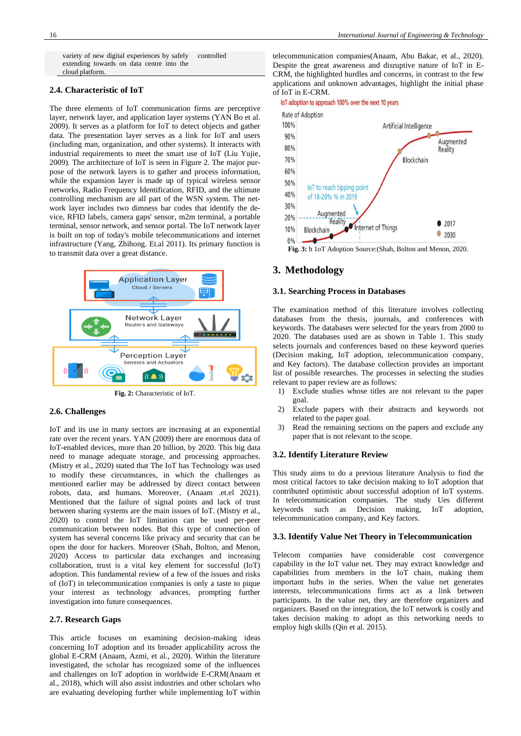variety of new digital experiences by safely extending towards on data centre into the cloud platform. controlled

## **2.4. Characteristic of IoT**

The three elements of IoT communication firms are perceptive layer, network layer, and application layer systems (YAN Bo et al. 2009). It serves as a platform for IoT to detect objects and gather data. The presentation layer serves as a link for IoT and users (including man, organization, and other systems). It interacts with industrial requirements to meet the smart use of IoT (Liu Yujie, 2009). The architecture of IoT is seen in Figure 2. The major purpose of the network layers is to gather and process information, while the expansion layer is made up of typical wireless sensor networks, Radio Frequency Identification, RFID, and the ultimate controlling mechanism are all part of the WSN system. The network layer includes two dimness bar codes that identify the device, RFID labels, camera gaps' sensor, m2m terminal, a portable terminal, sensor network, and sensor portal. The IoT network layer is built on top of today's mobile telecommunications and internet infrastructure (Yang, Zhihong. Et.al 2011). Its primary function is to transmit data over a great distance.



**Fig. 2:** Characteristic of IoT.

#### **2.6. Challenges**

IoT and its use in many sectors are increasing at an exponential rate over the recent years. YAN (2009) there are enormous data of IoT-enabled devices, more than 20 billion, by 2020. This big data need to manage adequate storage, and processing approaches. (Mistry et al., 2020) stated that The IoT has Technology was used to modify these circumstances, in which the challenges as mentioned earlier may be addressed by direct contact between robots, data, and humans. Moreover, (Anaam .et.el 2021). Mentioned that the failure of signal points and lack of trust between sharing systems are the main issues of IoT. (Mistry et al., 2020) to control the IoT limitation can be used per-peer communication between nodes. But this type of connection of system has several concerns like privacy and security that can be open the door for hackers. Moreover (Shah, Bolton, and Menon, 2020) Access to particular data exchanges and increasing collaboration, trust is a vital key element for successful (IoT) adoption. This fundamental review of a few of the issues and risks of (IoT) in telecommunication companies is only a taste to pique your interest as technology advances, prompting further investigation into future consequences.

## **2.7. Research Gaps**

This article focuses on examining decision-making ideas concerning IoT adoption and its broader applicability across the global E-CRM (Anaam, Azmi, et al., 2020). Within the literature investigated, the scholar has recognized some of the influences and challenges on IoT adoption in worldwide E-CRM(Anaam et al., 2018), which will also assist industries and other scholars who are evaluating developing further while implementing IoT within

telecommunication companies(Anaam, Abu Bakar, et al., 2020). Despite the great awareness and disruptive nature of IoT in E-CRM, the highlighted hurdles and concerns, in contrast to the few applications and unknown advantages, highlight the initial phase of IoT in E-CRM.

#### loT adoption to approach 100% over the next 10 years



**Fig. 3:** h 1oT Adoption Source:(Shah, Bolton and Menon, 2020.

# **3. Methodology**

## **3.1. Searching Process in Databases**

The examination method of this literature involves collecting databases from the thesis, journals, and conferences with keywords. The databases were selected for the years from 2000 to 2020. The databases used are as shown in Table 1. This study selects journals and conferences based on these keyword queries (Decision making, IoT adoption, telecommunication company, and Key factors). The database collection provides an important list of possible researches. The processes in selecting the studies relevant to paper review are as follows:

- 1) Exclude studies whose titles are not relevant to the paper goal.
- 2) Exclude papers with their abstracts and keywords not related to the paper goal.
- 3) Read the remaining sections on the papers and exclude any paper that is not relevant to the scope.

## **3.2. Identify Literature Review**

This study aims to do a previous literature Analysis to find the most critical factors to take decision making to IoT adoption that contributed optimistic about successful adoption of IoT systems. In telecommunication companies. The study Ues different keywords such as Decision making, IoT adoption, telecommunication company, and Key factors.

#### **3.3. Identify Value Net Theory in Telecommunication**

Telecom companies have considerable cost convergence capability in the IoT value net. They may extract knowledge and capabilities from members in the IoT chain, making them important hubs in the series. When the value net generates interests, telecommunications firms act as a link between participants. In the value net, they are therefore organizers and organizers. Based on the integration, the IoT network is costly and takes decision making to adopt as this networking needs to employ high skills (Qin et al. 2015).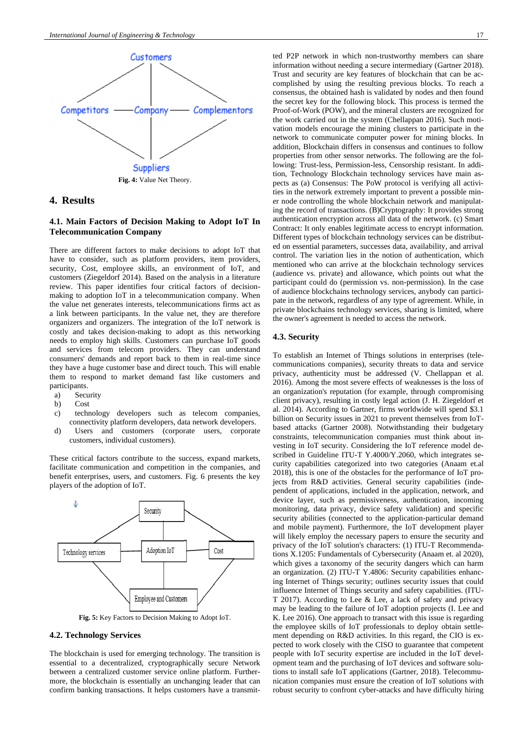

# **4. Results**

# **4.1. Main Factors of Decision Making to Adopt IoT In Telecommunication Company**

There are different factors to make decisions to adopt IoT that have to consider, such as platform providers, item providers, security, Cost, employee skills, an environment of IoT, and customers (Ziegeldorf 2014). Based on the analysis in a literature review. This paper identifies four critical factors of decisionmaking to adoption IoT in a telecommunication company. When the value net generates interests, telecommunications firms act as a link between participants. In the value net, they are therefore organizers and organizers. The integration of the IoT network is costly and takes decision-making to adopt as this networking needs to employ high skills. Customers can purchase IoT goods and services from telecom providers. They can understand consumers' demands and report back to them in real-time since they have a huge customer base and direct touch. This will enable them to respond to market demand fast like customers and participants.

- a) Security
- b) Cost
- c) technology developers such as telecom companies, connectivity platform developers, data network developers.
- d) Users and customers (corporate users, corporate customers, individual customers).

These critical factors contribute to the success, expand markets, facilitate communication and competition in the companies, and benefit enterprises, users, and customers. Fig. 6 presents the key players of the adoption of IoT.



**Fig. 5:** Key Factors to Decision Making to Adopt IoT.

# **4.2. Technology Services**

The blockchain is used for emerging technology. The transition is essential to a decentralized, cryptographically secure Network between a centralized customer service online platform. Furthermore, the blockchain is essentially an unchanging leader that can confirm banking transactions. It helps customers have a transmitted P2P network in which non-trustworthy members can share information without needing a secure intermediary (Gartner 2018). Trust and security are key features of blockchain that can be accomplished by using the resulting previous blocks. To reach a consensus, the obtained hash is validated by nodes and then found the secret key for the following block. This process is termed the Proof-of-Work (POW), and the mineral clusters are recognized for the work carried out in the system (Chellappan 2016). Such motivation models encourage the mining clusters to participate in the network to communicate computer power for mining blocks. In addition, Blockchain differs in consensus and continues to follow properties from other sensor networks. The following are the following: Trust-less, Permission-less, Censorship resistant. In addition, Technology Blockchain technology services have main aspects as (a) Consensus: The PoW protocol is verifying all activities in the network extremely important to prevent a possible miner node controlling the whole blockchain network and manipulating the record of transactions. (B)Cryptography: It provides strong authentication encryption across all data of the network. (c) Smart Contract: It only enables legitimate access to encrypt information. Different types of blockchain technology services can be distributed on essential parameters, successes data, availability, and arrival control. The variation lies in the notion of authentication, which mentioned who can arrive at the blockchain technology services (audience vs. private) and allowance, which points out what the participant could do (permission vs. non-permission). In the case of audience blockchains technology services, anybody can participate in the network, regardless of any type of agreement. While, in private blockchains technology services, sharing is limited, where the owner's agreement is needed to access the network.

#### **4.3. Security**

To establish an Internet of Things solutions in enterprises (telecommunications companies), security threats to data and service privacy, authenticity must be addressed (V. Chellappan et al. 2016). Among the most severe effects of weaknesses is the loss of an organization's reputation (for example, through compromising client privacy), resulting in costly legal action (J. H. Ziegeldorf et al. 2014). According to Gartner, firms worldwide will spend \$3.1 billion on Security issues in 2021 to prevent themselves from IoTbased attacks (Gartner 2008). Notwithstanding their budgetary constraints, telecommunication companies must think about investing in IoT security. Considering the IoT reference model described in Guideline ITU-T Y.4000/Y.2060, which integrates security capabilities categorized into two categories (Anaam et.al 2018), this is one of the obstacles for the performance of IoT projects from R&D activities. General security capabilities (independent of applications, included in the application, network, and device layer, such as permissiveness, authentication, incoming monitoring, data privacy, device safety validation) and specific security abilities (connected to the application-particular demand and mobile payment). Furthermore, the IoT development player will likely employ the necessary papers to ensure the security and privacy of the IoT solution's characters: (1) ITU-T Recommendations X.1205: Fundamentals of Cybersecurity (Anaam et. al 2020), which gives a taxonomy of the security dangers which can harm an organization. (2) ITU-T Y.4806: Security capabilities enhancing Internet of Things security; outlines security issues that could influence Internet of Things security and safety capabilities. (ITU-T 2017). According to Lee & Lee, a lack of safety and privacy may be leading to the failure of IoT adoption projects (I. Lee and K. Lee 2016). One approach to transact with this issue is regarding the employee skills of IoT professionals to deploy obtain settlement depending on R&D activities. In this regard, the CIO is expected to work closely with the CISO to guarantee that competent people with IoT security expertise are included in the IoT development team and the purchasing of IoT devices and software solutions to install safe IoT applications (Gartner, 2018). Telecommunication companies must ensure the creation of IoT solutions with robust security to confront cyber-attacks and have difficulty hiring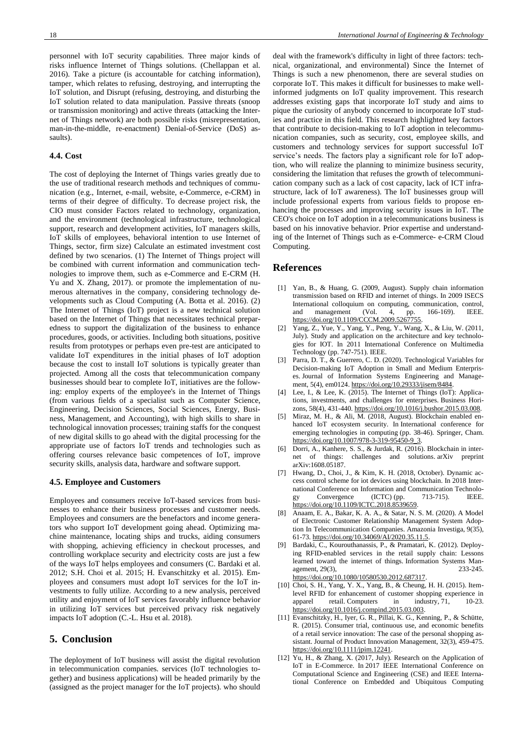personnel with IoT security capabilities. Three major kinds of risks influence Internet of Things solutions. (Chellappan et al. 2016). Take a picture (is accountable for catching information), tamper, which relates to refusing, destroying, and interrupting the IoT solution, and Disrupt (refusing, destroying, and disturbing the IoT solution related to data manipulation. Passive threats (snoop or transmission monitoring) and active threats (attacking the Internet of Things network) are both possible risks (misrepresentation, man-in-the-middle, re-enactment) Denial-of-Service (DoS) assaults).

## **4.4. Cost**

The cost of deploying the Internet of Things varies greatly due to the use of traditional research methods and techniques of communication (e.g., Internet, e-mail, website, e-Commerce, e-CRM) in terms of their degree of difficulty. To decrease project risk, the CIO must consider Factors related to technology, organization, and the environment (technological infrastructure, technological support, research and development activities, IoT managers skills, IoT skills of employees, behavioral intention to use Internet of Things, sector, firm size) Calculate an estimated investment cost defined by two scenarios. (1) The Internet of Things project will be combined with current information and communication technologies to improve them, such as e-Commerce and E-CRM (H. Yu and X. Zhang, 2017). or promote the implementation of numerous alternatives in the company, considering technology developments such as Cloud Computing (A. Botta et al. 2016). (2) The Internet of Things (IoT) project is a new technical solution based on the Internet of Things that necessitates technical preparedness to support the digitalization of the business to enhance procedures, goods, or activities. Including both situations, positive results from prototypes or perhaps even pre-test are anticipated to validate IoT expenditures in the initial phases of IoT adoption because the cost to install IoT solutions is typically greater than projected. Among all the costs that telecommunication company businesses should bear to complete IoT, initiatives are the following: employ experts of the employee's in the Internet of Things (from various fields of a specialist such as Computer Science, Engineering, Decision Sciences, Social Sciences, Energy, Business, Management, and Accounting), with high skills to share in technological innovation processes; training staffs for the conquest of new digital skills to go ahead with the digital processing for the appropriate use of factors IoT trends and technologies such as offering courses relevance basic competences of IoT, improve security skills, analysis data, hardware and software support.

## **4.5. Employee and Customers**

Employees and consumers receive IoT-based services from businesses to enhance their business processes and customer needs. Employees and consumers are the benefactors and income generators who support IoT development going ahead. Optimizing machine maintenance, locating ships and trucks, aiding consumers with shopping, achieving efficiency in checkout processes, and controlling workplace security and electricity costs are just a few of the ways IoT helps employees and consumers (C. Bardaki et al. 2012; S.H. Choi et al. 2015; H. Evanschitzky et al. 2015). Employees and consumers must adopt IoT services for the IoT investments to fully utilize. According to a new analysis, perceived utility and enjoyment of IoT services favorably influence behavior in utilizing IoT services but perceived privacy risk negatively impacts IoT adoption (C.-L. Hsu et al. 2018).

# **5. Conclusion**

The deployment of IoT business will assist the digital revolution in telecommunication companies. services (IoT technologies together) and business applications) will be headed primarily by the (assigned as the project manager for the IoT projects). who should deal with the framework's difficulty in light of three factors: technical, organizational, and environmental) Since the Internet of Things is such a new phenomenon, there are several studies on corporate IoT. This makes it difficult for businesses to make wellinformed judgments on IoT quality improvement. This research addresses existing gaps that incorporate IoT study and aims to pique the curiosity of anybody concerned to incorporate IoT studies and practice in this field. This research highlighted key factors that contribute to decision-making to IoT adoption in telecommunication companies, such as security, cost, employee skills, and customers and technology services for support successful IoT service's needs. The factors play a significant role for IoT adoption, who will realize the planning to minimize business security, considering the limitation that refuses the growth of telecommunication company such as a lack of cost capacity, lack of ICT infrastructure, lack of IoT awareness). The IoT businesses group will include professional experts from various fields to propose enhancing the processes and improving security issues in IoT. The CEO's choice on IoT adoption in a telecommunications business is based on his innovative behavior. Prior expertise and understanding of the Internet of Things such as e-Commerce- e-CRM Cloud Computing.

# **References**

- [1] Yan, B., & Huang, G. (2009, August). Supply chain information transmission based on RFID and internet of things. In 2009 ISECS International colloquium on computing, communication, control, and management (Vol. 4, pp. 166-169). IEEE. and management (Vol. 4, pp. 166-169). IEEE. [https://doi.org/10.1109/CCCM.2009.5267755.](https://doi.org/10.1109/CCCM.2009.5267755)
- [2] Yang, Z., Yue, Y., Yang, Y., Peng, Y., Wang, X., & Liu, W. (2011, July). Study and application on the architecture and key technologies for IOT. In 2011 International Conference on Multimedia Technology (pp. 747-751). IEEE.
- [3] Parra, D. T., & Guerrero, C. D. (2020). Technological Variables for Decision-making IoT Adoption in Small and Medium Enterprises. Journal of Information Systems Engineering and Management, 5(4), em0124. [https://doi.org/10.29333/jisem/8484.](https://doi.org/10.29333/jisem/8484)
- [4] Lee, I., & Lee, K. (2015). The Internet of Things (IoT): Applications, investments, and challenges for enterprises. Business Horizons, 58(4), 431-440. [https://doi.org/10.1016/j.bushor.2015.03.008.](https://doi.org/10.1016/j.bushor.2015.03.008)
- Miraz, M. H., & Ali, M. (2018, August). Blockchain enabled enhanced IoT ecosystem security. In International conference for emerging technologies in computing (pp. 38-46). Springer, Cham. [https://doi.org/10.1007/978-3-319-95450-9\\_3.](https://doi.org/10.1007/978-3-319-95450-9_3)
- [6] Dorri, A., Kanhere, S. S., & Jurdak, R. (2016). Blockchain in internet of things: challenges and solutions. arXiv preprint arXiv:1608.05187.
- [7] Hwang, D., Choi, J., & Kim, K. H. (2018, October). Dynamic access control scheme for iot devices using blockchain. In 2018 International Conference on Information and Communication Technology<br>
Convergence (ICTC) (pp. 713-715). IEEE. gy Convergence (ICTC) (pp. 713-715). IEEE. [https://doi.org/10.1109/ICTC.2018.8539659.](https://doi.org/10.1109/ICTC.2018.8539659)
- [8] Anaam, E. A., Bakar, K. A. A., & Satar, N. S. M. (2020). A Model of Electronic Customer Relationship Management System Adoption In Telecommunication Companies. Amazonia Investiga, 9(35), 61-73. [https://doi.org/10.34069/AI/2020.35.11.5.](https://doi.org/10.34069/AI/2020.35.11.5)
- [9] Bardaki, C., Kourouthanassis, P., & Pramatari, K. (2012). Deploying RFID-enabled services in the retail supply chain: Lessons learned toward the internet of things. Information Systems Man-<br>agement, 29(3), 233-245. agement,  $29(3)$ , [https://doi.org/10.1080/10580530.2012.687317.](https://doi.org/10.1080/10580530.2012.687317)
- [10] Choi, S. H., Yang, Y. X., Yang, B., & Cheung, H. H. (2015). Itemlevel RFID for enhancement of customer shopping experience in apparel retail. Computers in industry, 71, 10-23. apparel retail. Computers in industry, 71, 10-23. [https://doi.org/10.1016/j.compind.2015.03.003.](https://doi.org/10.1016/j.compind.2015.03.003)
- [11] Evanschitzky, H., Iyer, G. R., Pillai, K. G., Kenning, P., & Schütte, R. (2015). Consumer trial, continuous use, and economic benefits of a retail service innovation: The case of the personal shopping assistant. Journal of Product Innovation Management, 32(3), 459-475. [https://doi.org/10.1111/jpim.12241.](https://doi.org/10.1111/jpim.12241)
- [12] Yu, H., & Zhang, X. (2017, July). Research on the Application of IoT in E-Commerce. In 2017 IEEE International Conference on Computational Science and Engineering (CSE) and IEEE International Conference on Embedded and Ubiquitous Computing